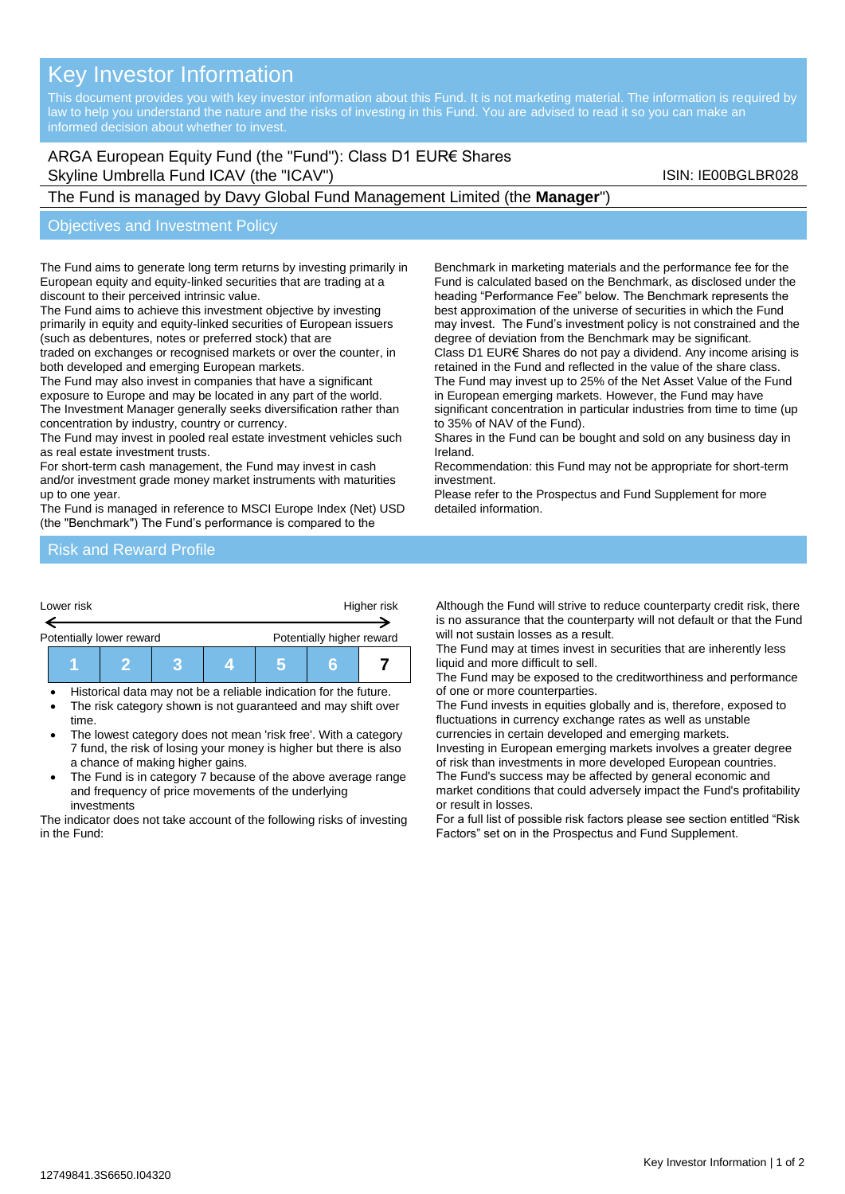# Key Investor Information

# ARGA European Equity Fund (the "Fund"): Class D1 EUR€ Shares Skyline Umbrella Fund ICAV (the "ICAV") Skyline Umbrella Fund ICAV (the "ICAV")

## The Fund is managed by Davy Global Fund Management Limited (the **Manager**")

#### Objectives and Investment Policy

The Fund aims to generate long term returns by investing primarily in European equity and equity-linked securities that are trading at a discount to their perceived intrinsic value.

The Fund aims to achieve this investment objective by investing primarily in equity and equity-linked securities of European issuers (such as debentures, notes or preferred stock) that are

traded on exchanges or recognised markets or over the counter, in both developed and emerging European markets.

The Fund may also invest in companies that have a significant exposure to Europe and may be located in any part of the world. The Investment Manager generally seeks diversification rather than concentration by industry, country or currency.

The Fund may invest in pooled real estate investment vehicles such as real estate investment trusts.

For short-term cash management, the Fund may invest in cash

and/or investment grade money market instruments with maturities up to one year.

The Fund is managed in reference to MSCI Europe Index (Net) USD (the "Benchmark") The Fund's performance is compared to the

Benchmark in marketing materials and the performance fee for the Fund is calculated based on the Benchmark, as disclosed under the heading "Performance Fee" below. The Benchmark represents the best approximation of the universe of securities in which the Fund may invest. The Fund's investment policy is not constrained and the degree of deviation from the Benchmark may be significant.

Class D1 EUR€ Shares do not pay a dividend. Any income arising is retained in the Fund and reflected in the value of the share class. The Fund may invest up to 25% of the Net Asset Value of the Fund in European emerging markets. However, the Fund may have significant concentration in particular industries from time to time (up to 35% of NAV of the Fund).

Shares in the Fund can be bought and sold on any business day in Ireland.

Recommendation: this Fund may not be appropriate for short-term investment.

Please refer to the Prospectus and Fund Supplement for more detailed information.

#### Risk and Reward Profile



| $\begin{array}{ c c c }\n\hline\n\text{I} & \text{5}\n\end{array}$ |
|--------------------------------------------------------------------|
|--------------------------------------------------------------------|

- Historical data may not be a reliable indication for the future.
- The risk category shown is not guaranteed and may shift over time.
- The lowest category does not mean 'risk free'. With a category 7 fund, the risk of losing your money is higher but there is also a chance of making higher gains.
- The Fund is in category 7 because of the above average range and frequency of price movements of the underlying investments

The indicator does not take account of the following risks of investing in the Fund:

Although the Fund will strive to reduce counterparty credit risk, there is no assurance that the counterparty will not default or that the Fund will not sustain losses as a result.

The Fund may at times invest in securities that are inherently less liquid and more difficult to sell.

The Fund may be exposed to the creditworthiness and performance of one or more counterparties.

The Fund invests in equities globally and is, therefore, exposed to fluctuations in currency exchange rates as well as unstable currencies in certain developed and emerging markets.

Investing in European emerging markets involves a greater degree of risk than investments in more developed European countries. The Fund's success may be affected by general economic and

market conditions that could adversely impact the Fund's profitability or result in losses.

For a full list of possible risk factors please see section entitled "Risk Factors" set on in the Prospectus and Fund Supplement.